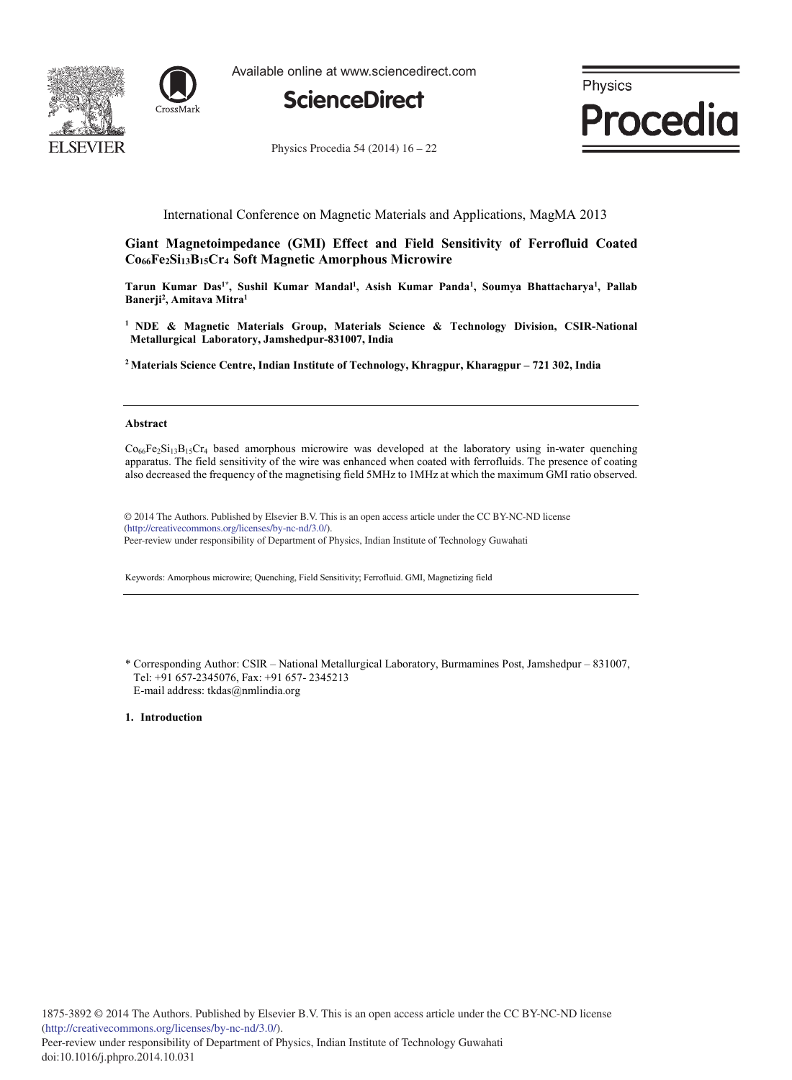



Available online at www.sciencedirect.com



Physics **Procedia** 

Physics Procedia 54 (2014)  $16 - 22$ 

# International Conference on Magnetic Materials and Applications, MagMA 2013

**Giant Magnetoimpedance (GMI) Effect and Field Sensitivity of Ferrofluid Coated Co66Fe2Si13B15Cr<sup>4</sup> Soft Magnetic Amorphous Microwire** 

**Tarun Kumar Das1\*, Sushil Kumar Mandal<sup>1</sup> , Asish Kumar Panda<sup>1</sup> , Soumya Bhattacharya<sup>1</sup> , Pallab Banerji<sup>2</sup> , Amitava Mitra<sup>1</sup>**

**<sup>1</sup> NDE & Magnetic Materials Group, Materials Science & Technology Division, CSIR-National Metallurgical Laboratory, Jamshedpur-831007, India** 

**<sup>2</sup> Materials Science Centre, Indian Institute of Technology, Khragpur, Kharagpur – 721 302, India** 

#### **Abstract**

 $Co<sub>66</sub>Fe<sub>2</sub>Si<sub>13</sub>B<sub>15</sub>Cr<sub>4</sub>$  based amorphous microwire was developed at the laboratory using in-water quenching apparatus. The field sensitivity of the wire was enhanced when coated with ferrofluids. The presence of coating also decreased the frequency of the magnetising field 5MHz to 1MHz at which the maximum GMI ratio observed.

© 2014 The Authors. Published by Elsevier B.V. © 2014 The Authors. Published by Elsevier B.V. This is an open access article under the CC BY-NC-ND license (http://creativecommons.org/licenses/by-nc-nd/3.0/). Peer-review under responsibility of Department of Physics, Indian Institute of Technology Guwahati

Keywords: Amorphous microwire; Quenching, Field Sensitivity; Ferrofluid. GMI, Magnetizing field

\* Corresponding Author: CSIR – National Metallurgical Laboratory, Burmamines Post, Jamshedpur – 831007, Tel: +91 657-2345076, Fax: +91 657- 2345213 E-mail address: tkdas@nmlindia.org

**1. Introduction**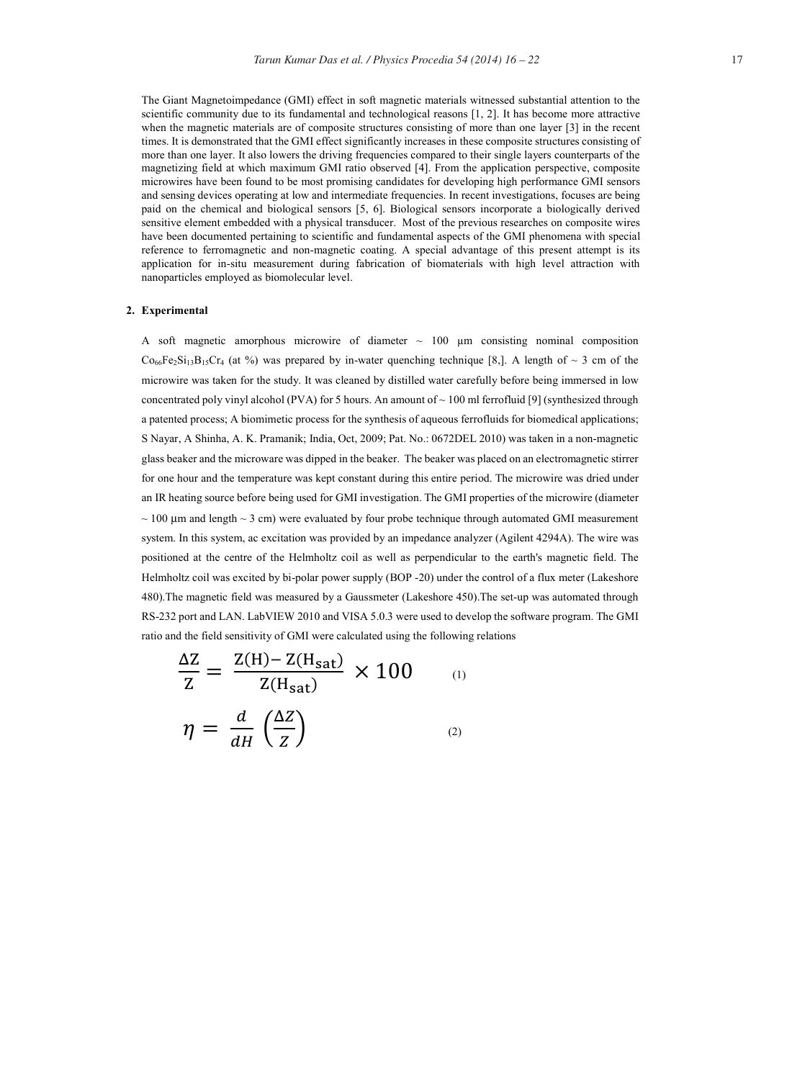The Giant Magnetoimpedance (GMI) effect in soft magnetic materials witnessed substantial attention to the scientific community due to its fundamental and technological reasons [1, 2]. It has become more attractive when the magnetic materials are of composite structures consisting of more than one layer [3] in the recent times. It is demonstrated that the GMI effect significantly increases in these composite structures consisting of more than one layer. It also lowers the driving frequencies compared to their single layers counterparts of the magnetizing field at which maximum GMI ratio observed [4]. From the application perspective, composite microwires have been found to be most promising candidates for developing high performance GMI sensors and sensing devices operating at low and intermediate frequencies. In recent investigations, focuses are being paid on the chemical and biological sensors [5, 6]. Biological sensors incorporate a biologically derived sensitive element embedded with a physical transducer. Most of the previous researches on composite wires have been documented pertaining to scientific and fundamental aspects of the GMI phenomena with special reference to ferromagnetic and non-magnetic coating. A special advantage of this present attempt is its application for in-situ measurement during fabrication of biomaterials with high level attraction with nanoparticles employed as biomolecular level.

### **2. Experimental**

A soft magnetic amorphous microwire of diameter  $\sim$  100  $\mu$ m consisting nominal composition  $Co_{66}Fe_2Si_{13}B_{15}Cr_4$  (at %) was prepared by in-water quenching technique [8,]. A length of ~ 3 cm of the microwire was taken for the study. It was cleaned by distilled water carefully before being immersed in low concentrated poly vinyl alcohol (PVA) for 5 hours. An amount of  $\sim$  100 ml ferrofluid [9] (synthesized through a patented process; A biomimetic process for the synthesis of aqueous ferrofluids for biomedical applications; S Nayar, A Shinha, A. K. Pramanik; India, Oct, 2009; Pat. No.: 0672DEL 2010) was taken in a non-magnetic glass beaker and the microware was dipped in the beaker. The beaker was placed on an electromagnetic stirrer for one hour and the temperature was kept constant during this entire period. The microwire was dried under an IR heating source before being used for GMI investigation. The GMI properties of the microwire (diameter  $\sim$  100 µm and length  $\sim$  3 cm) were evaluated by four probe technique through automated GMI measurement system. In this system, ac excitation was provided by an impedance analyzer (Agilent 4294A). The wire was positioned at the centre of the Helmholtz coil as well as perpendicular to the earth's magnetic field. The Helmholtz coil was excited by bi-polar power supply (BOP -20) under the control of a flux meter (Lakeshore 480).The magnetic field was measured by a Gaussmeter (Lakeshore 450).The set-up was automated through RS-232 port and LAN. LabVIEW 2010 and VISA 5.0.3 were used to develop the software program. The GMI ratio and the field sensitivity of GMI were calculated using the following relations

$$
\frac{\Delta Z}{Z} = \frac{Z(H) - Z(H_{sat})}{Z(H_{sat})} \times 100
$$
\n
$$
\eta = \frac{d}{dH} \left(\frac{\Delta Z}{Z}\right)
$$
\n(2)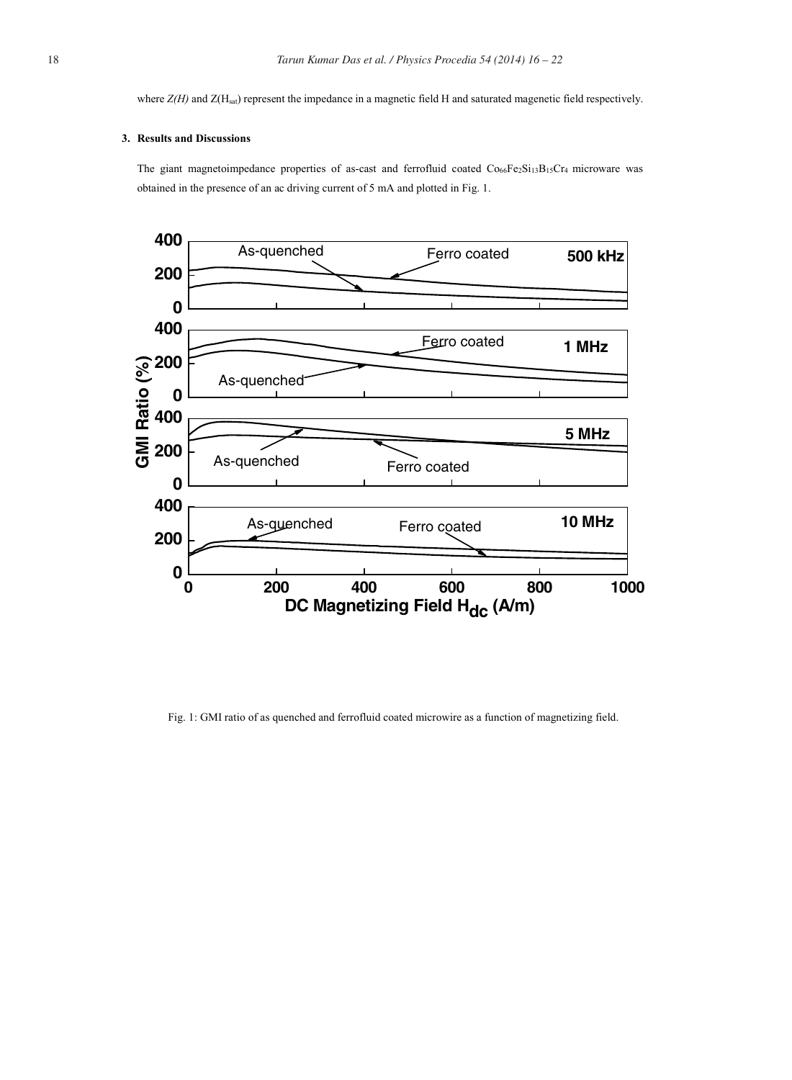where *Z(H)* and *Z*(H<sub>sat</sub>) represent the impedance in a magnetic field H and saturated magenetic field respectively.

## **3. Results and Discussions**

The giant magnetoimpedance properties of as-cast and ferrofluid coated  $Co<sub>66</sub>Fe<sub>2</sub>Si<sub>13</sub>B<sub>15</sub>Cr<sub>4</sub> microware was$ obtained in the presence of an ac driving current of 5 mA and plotted in Fig. 1.



Fig. 1: GMI ratio of as quenched and ferrofluid coated microwire as a function of magnetizing field.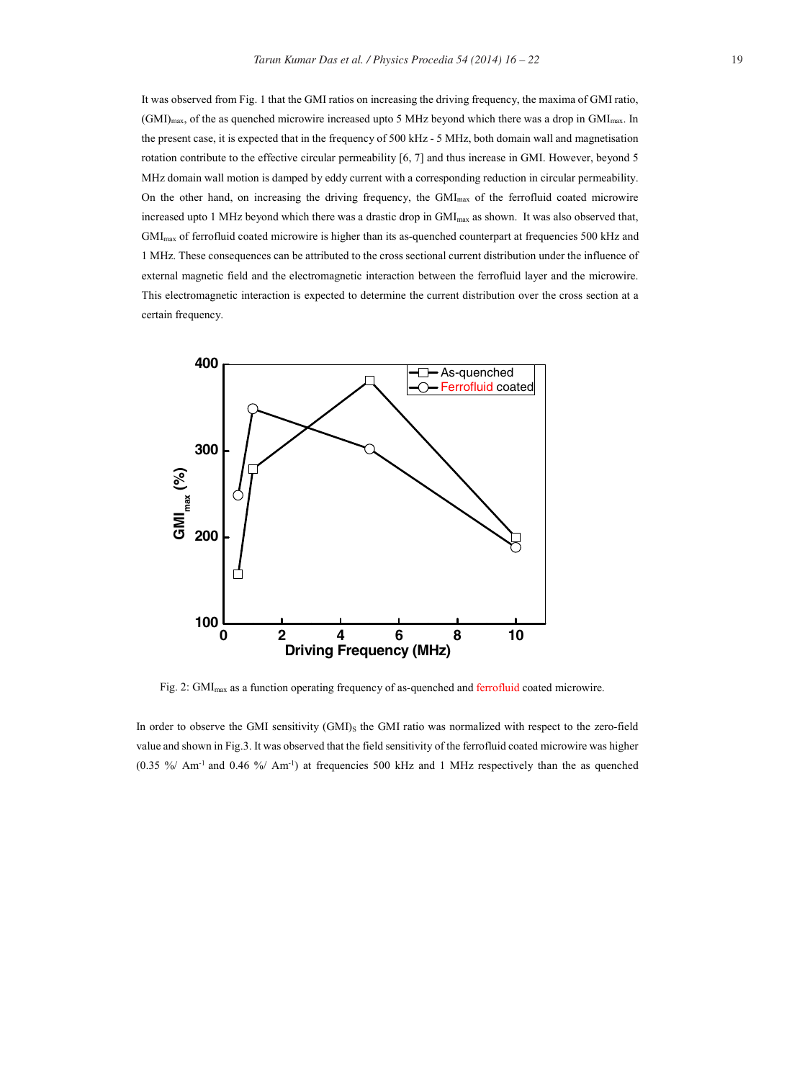It was observed from Fig. 1 that the GMI ratios on increasing the driving frequency, the maxima of GMI ratio, (GMI)max, of the as quenched microwire increased upto 5 MHz beyond which there was a drop in GMImax. In the present case, it is expected that in the frequency of 500 kHz - 5 MHz, both domain wall and magnetisation rotation contribute to the effective circular permeability [6, 7] and thus increase in GMI. However, beyond 5 MHz domain wall motion is damped by eddy current with a corresponding reduction in circular permeability. On the other hand, on increasing the driving frequency, the  $GM_{\text{max}}$  of the ferrofluid coated microwire increased upto 1 MHz beyond which there was a drastic drop in GMI<sub>max</sub> as shown. It was also observed that, GMImax of ferrofluid coated microwire is higher than its as-quenched counterpart at frequencies 500 kHz and 1 MHz. These consequences can be attributed to the cross sectional current distribution under the influence of external magnetic field and the electromagnetic interaction between the ferrofluid layer and the microwire. This electromagnetic interaction is expected to determine the current distribution over the cross section at a certain frequency.



Fig. 2: GMImax as a function operating frequency of as-quenched and ferrofluid coated microwire.

In order to observe the GMI sensitivity (GMI)<sub>S</sub> the GMI ratio was normalized with respect to the zero-field value and shown in Fig.3. It was observed that the field sensitivity of the ferrofluid coated microwire was higher (0.35 %/ Am-1 and 0.46 %/ Am-1) at frequencies 500 kHz and 1 MHz respectively than the as quenched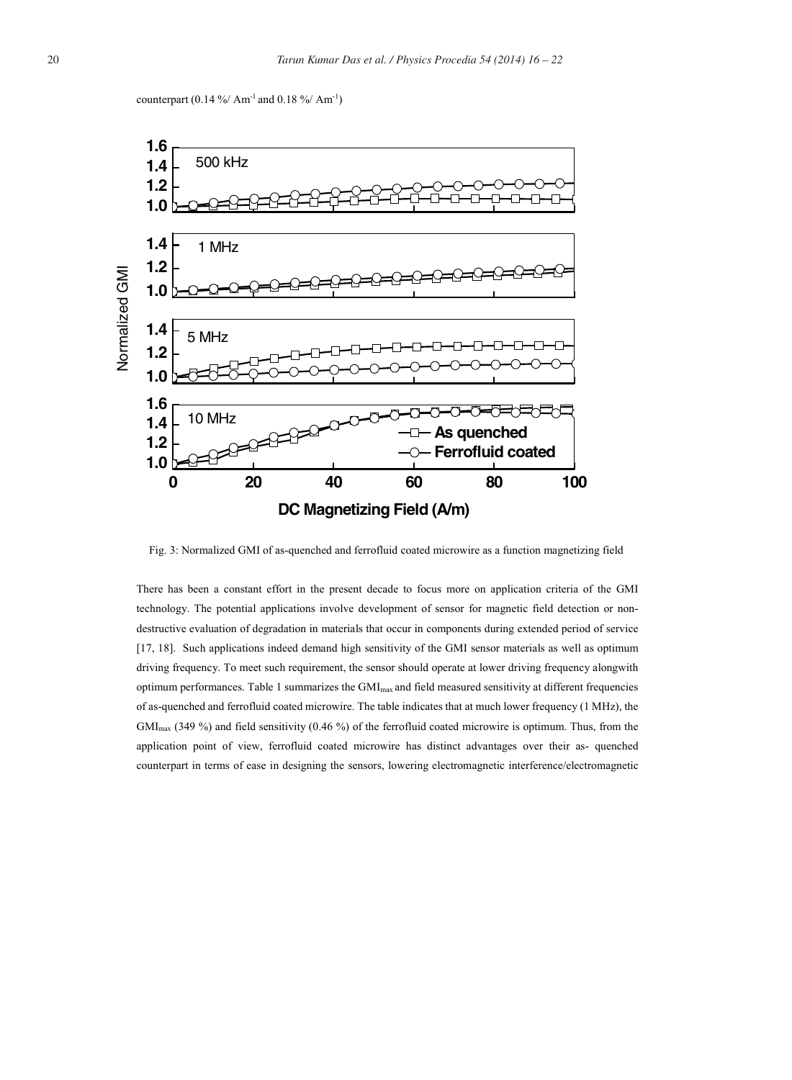



Fig. 3: Normalized GMI of as-quenched and ferrofluid coated microwire as a function magnetizing field

There has been a constant effort in the present decade to focus more on application criteria of the GMI technology. The potential applications involve development of sensor for magnetic field detection or nondestructive evaluation of degradation in materials that occur in components during extended period of service [17, 18]. Such applications indeed demand high sensitivity of the GMI sensor materials as well as optimum driving frequency. To meet such requirement, the sensor should operate at lower driving frequency alongwith optimum performances. Table 1 summarizes the GMI<sub>max</sub> and field measured sensitivity at different frequencies of as-quenched and ferrofluid coated microwire. The table indicates that at much lower frequency (1 MHz), the GMImax (349 %) and field sensitivity (0.46 %) of the ferrofluid coated microwire is optimum. Thus, from the application point of view, ferrofluid coated microwire has distinct advantages over their as- quenched counterpart in terms of ease in designing the sensors, lowering electromagnetic interference/electromagnetic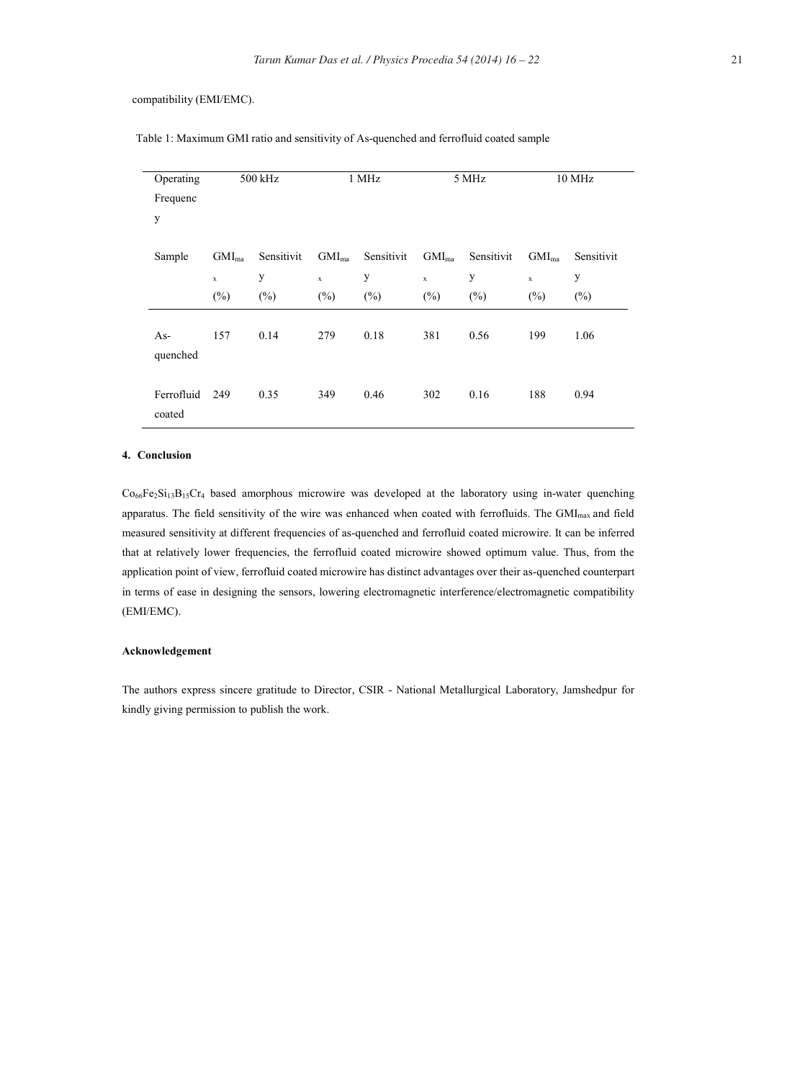### compatibility (EMI/EMC).

| Operating            | 500 kHz           |            | 1 MHz      |            | 5 MHz       |            | 10 MHz      |            |
|----------------------|-------------------|------------|------------|------------|-------------|------------|-------------|------------|
| Frequenc             |                   |            |            |            |             |            |             |            |
| y                    |                   |            |            |            |             |            |             |            |
| Sample               | GMI <sub>ma</sub> | Sensitivit | $GMI_{ma}$ | Sensitivit | $GMI_{ma}$  | Sensitivit | $GMI_{ma}$  | Sensitivit |
|                      | $\mathbf x$       | y          | x          | y          | $\mathbf x$ | y          | $\mathbf x$ | y          |
|                      | $(\% )$           | $(\% )$    | $(\%)$     | $(\%)$     | $(\%)$      | $(\%)$     | $(\%)$      | $(\%)$     |
| $As-$<br>quenched    | 157               | 0.14       | 279        | 0.18       | 381         | 0.56       | 199         | 1.06       |
| Ferrofluid<br>coated | 249               | 0.35       | 349        | 0.46       | 302         | 0.16       | 188         | 0.94       |

Table 1: Maximum GMI ratio and sensitivity of As-quenched and ferrofluid coated sample

#### **4. Conclusion**

Co66Fe2Si13B15Cr4 based amorphous microwire was developed at the laboratory using in-water quenching apparatus. The field sensitivity of the wire was enhanced when coated with ferrofluids. The GMI<sub>max</sub> and field measured sensitivity at different frequencies of as-quenched and ferrofluid coated microwire. It can be inferred that at relatively lower frequencies, the ferrofluid coated microwire showed optimum value. Thus, from the application point of view, ferrofluid coated microwire has distinct advantages over their as-quenched counterpart in terms of ease in designing the sensors, lowering electromagnetic interference/electromagnetic compatibility (EMI/EMC).

### **Acknowledgement**

The authors express sincere gratitude to Director, CSIR - National Metallurgical Laboratory, Jamshedpur for kindly giving permission to publish the work.